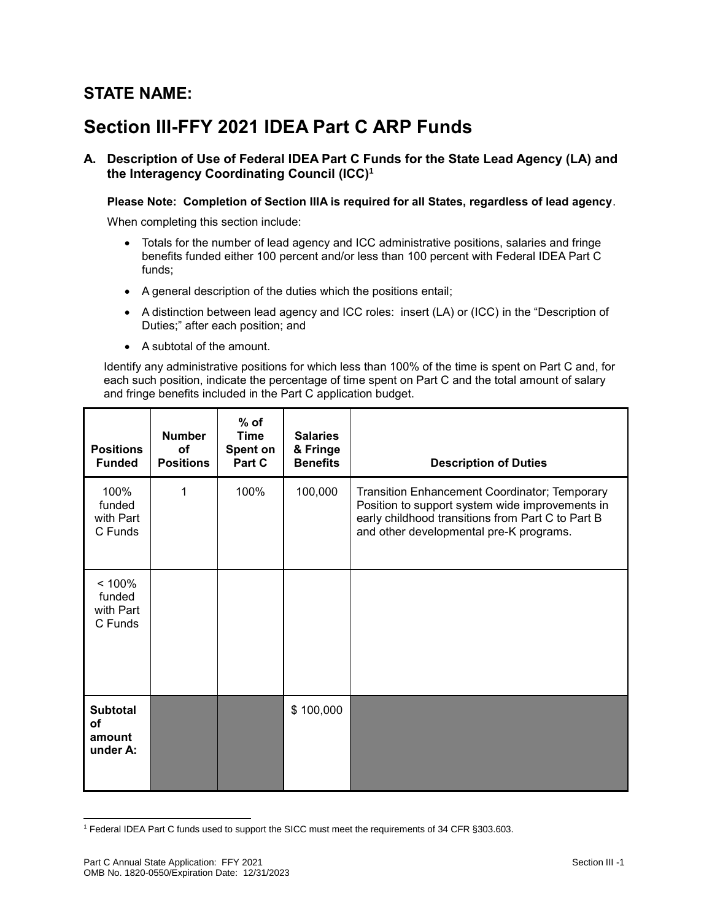## **STATE NAME:**

# **Section III-FFY 2021 IDEA Part C ARP Funds**

**A. Description of Use of Federal IDEA Part C Funds for the State Lead Agency (LA) and the Interagency Coordinating Council (ICC)<sup>1</sup>**

#### **Please Note: Completion of Section IIIA is required for all States, regardless of lead agency**.

When completing this section include:

- Totals for the number of lead agency and ICC administrative positions, salaries and fringe benefits funded either 100 percent and/or less than 100 percent with Federal IDEA Part C funds;
- A general description of the duties which the positions entail;
- A distinction between lead agency and ICC roles: insert (LA) or (ICC) in the "Description of Duties;" after each position; and
- A subtotal of the amount.

Identify any administrative positions for which less than 100% of the time is spent on Part C and, for each such position, indicate the percentage of time spent on Part C and the total amount of salary and fringe benefits included in the Part C application budget.

| <b>Positions</b><br><b>Funded</b>                  | <b>Number</b><br><b>of</b><br><b>Positions</b> | $%$ of<br><b>Time</b><br>Spent on<br>Part C | <b>Salaries</b><br>& Fringe<br><b>Benefits</b> | <b>Description of Duties</b>                                                                                                                                                                     |
|----------------------------------------------------|------------------------------------------------|---------------------------------------------|------------------------------------------------|--------------------------------------------------------------------------------------------------------------------------------------------------------------------------------------------------|
| 100%<br>funded<br>with Part<br>C Funds             | 1                                              | 100%                                        | 100,000                                        | Transition Enhancement Coordinator; Temporary<br>Position to support system wide improvements in<br>early childhood transitions from Part C to Part B<br>and other developmental pre-K programs. |
| < 100%<br>funded<br>with Part<br>C Funds           |                                                |                                             |                                                |                                                                                                                                                                                                  |
| <b>Subtotal</b><br><b>of</b><br>amount<br>under A: |                                                |                                             | \$100,000                                      |                                                                                                                                                                                                  |

l <sup>1</sup> Federal IDEA Part C funds used to support the SICC must meet the requirements of 34 CFR §303.603.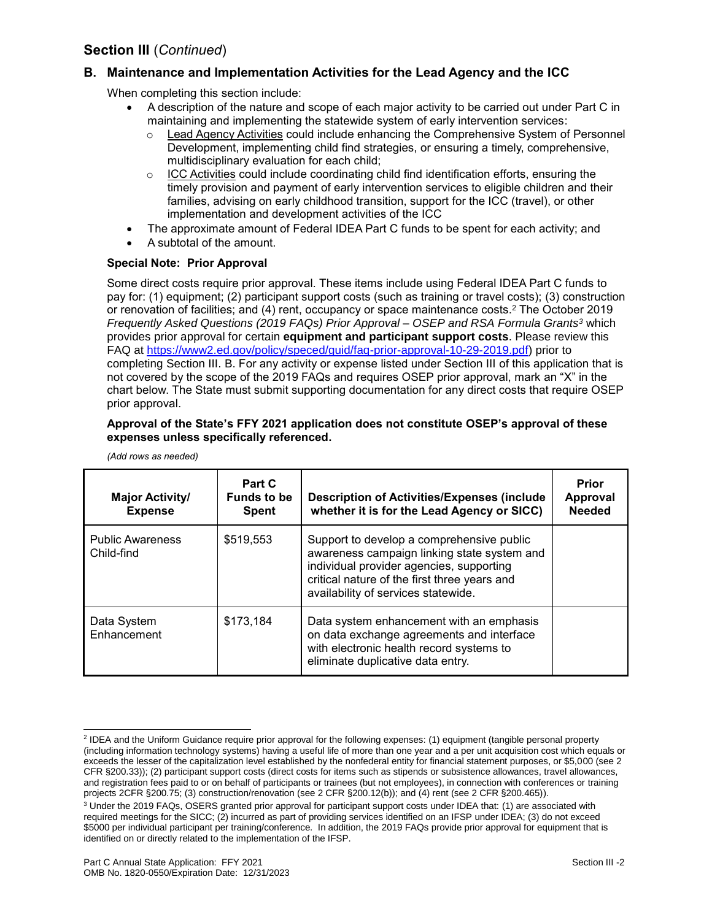### **B. Maintenance and Implementation Activities for the Lead Agency and the ICC**

When completing this section include:

- A description of the nature and scope of each major activity to be carried out under Part C in maintaining and implementing the statewide system of early intervention services:
	- o Lead Agency Activities could include enhancing the Comprehensive System of Personnel Development, implementing child find strategies, or ensuring a timely, comprehensive, multidisciplinary evaluation for each child;
	- $\circ$  ICC Activities could include coordinating child find identification efforts, ensuring the timely provision and payment of early intervention services to eligible children and their families, advising on early childhood transition, support for the ICC (travel), or other implementation and development activities of the ICC
- The approximate amount of Federal IDEA Part C funds to be spent for each activity; and
- A subtotal of the amount.

#### **Special Note: Prior Approval**

Some direct costs require prior approval. These items include using Federal IDEA Part C funds to pay for: (1) equipment; (2) participant support costs (such as training or travel costs); (3) construction or renovation of facilities; and (4) rent, occupancy or space maintenance costs. <sup>2</sup> The October 2019 *Frequently Asked Questions (2019 FAQs) Prior Approval – OSEP and RSA Formula Grants<sup>3</sup>* which provides prior approval for certain **equipment and participant support costs**. Please review this FAQ at [https://www2.ed.gov/policy/speced/guid/faq-prior-approval-10-29-2019.pdf\)](https://www2.ed.gov/policy/speced/guid/faq-prior-approval-10-29-2019.pdf) prior to completing Section III. B. For any activity or expense listed under Section III of this application that is not covered by the scope of the 2019 FAQs and requires OSEP prior approval, mark an "X" in the chart below. The State must submit supporting documentation for any direct costs that require OSEP prior approval.

#### **Approval of the State's FFY 2021 application does not constitute OSEP's approval of these expenses unless specifically referenced.**

| <b>Major Activity/</b><br><b>Expense</b> | Part C<br><b>Funds to be</b><br><b>Spent</b> | <b>Description of Activities/Expenses (include</b><br>whether it is for the Lead Agency or SICC)                                                                                                                            | Prior<br>Approval<br><b>Needed</b> |
|------------------------------------------|----------------------------------------------|-----------------------------------------------------------------------------------------------------------------------------------------------------------------------------------------------------------------------------|------------------------------------|
| <b>Public Awareness</b><br>Child-find    | \$519,553                                    | Support to develop a comprehensive public<br>awareness campaign linking state system and<br>individual provider agencies, supporting<br>critical nature of the first three years and<br>availability of services statewide. |                                    |
| Data System<br>Enhancement               | \$173,184                                    | Data system enhancement with an emphasis<br>on data exchange agreements and interface<br>with electronic health record systems to<br>eliminate duplicative data entry.                                                      |                                    |

*(Add rows as needed)*

l

<sup>&</sup>lt;sup>2</sup> IDEA and the Uniform Guidance require prior approval for the following expenses: (1) equipment (tangible personal property (including information technology systems) having a useful life of more than one year and a per unit acquisition cost which equals or exceeds the lesser of the capitalization level established by the nonfederal entity for financial statement purposes, or \$5,000 (see 2 CFR §200.33)); (2) participant support costs (direct costs for items such as stipends or subsistence allowances, travel allowances, and registration fees paid to or on behalf of participants or trainees (but not employees), in connection with conferences or training projects 2CFR §200.75; (3) construction/renovation (see 2 CFR §200.12(b)); and (4) rent (see 2 CFR §200.465)).

<sup>3</sup> Under the 2019 FAQs, OSERS granted prior approval for participant support costs under IDEA that: (1) are associated with required meetings for the SICC; (2) incurred as part of providing services identified on an IFSP under IDEA; (3) do not exceed \$5000 per individual participant per training/conference. In addition, the 2019 FAQs provide prior approval for equipment that is identified on or directly related to the implementation of the IFSP.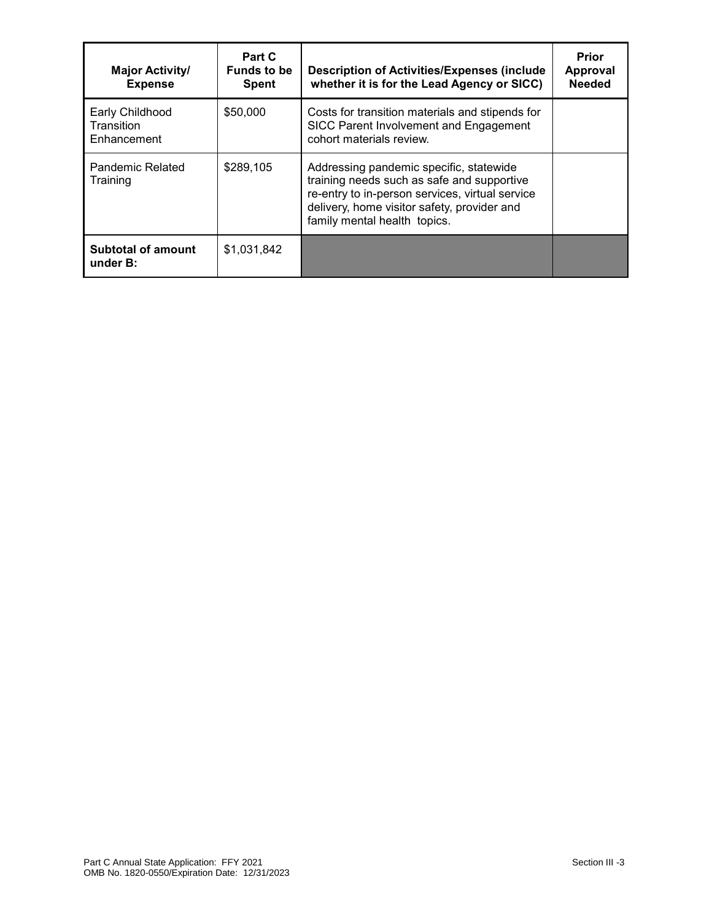| <b>Major Activity/</b><br><b>Expense</b>     | Part C<br><b>Funds to be</b><br><b>Spent</b> | <b>Description of Activities/Expenses (include)</b><br>whether it is for the Lead Agency or SICC)                                                                                                                       | Prior<br>Approval<br><b>Needed</b> |
|----------------------------------------------|----------------------------------------------|-------------------------------------------------------------------------------------------------------------------------------------------------------------------------------------------------------------------------|------------------------------------|
| Early Childhood<br>Transition<br>Enhancement | \$50,000                                     | Costs for transition materials and stipends for<br>SICC Parent Involvement and Engagement<br>cohort materials review.                                                                                                   |                                    |
| Pandemic Related<br>Training                 | \$289,105                                    | Addressing pandemic specific, statewide<br>training needs such as safe and supportive<br>re-entry to in-person services, virtual service<br>delivery, home visitor safety, provider and<br>family mental health topics. |                                    |
| <b>Subtotal of amount</b><br>under B:        | \$1,031,842                                  |                                                                                                                                                                                                                         |                                    |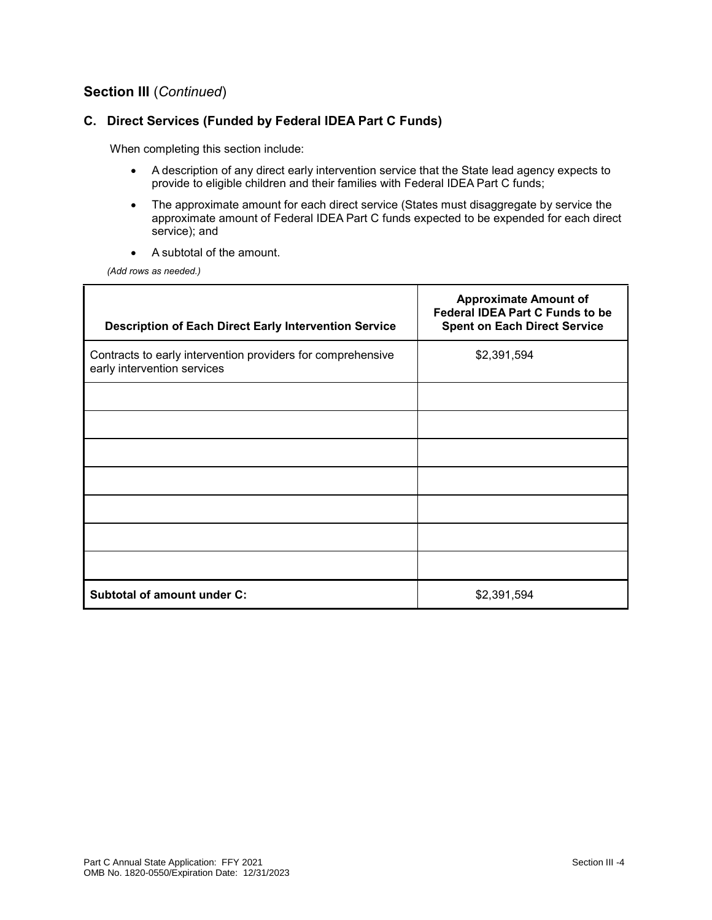#### **C. Direct Services (Funded by Federal IDEA Part C Funds)**

When completing this section include:

- A description of any direct early intervention service that the State lead agency expects to provide to eligible children and their families with Federal IDEA Part C funds;
- The approximate amount for each direct service (States must disaggregate by service the approximate amount of Federal IDEA Part C funds expected to be expended for each direct service); and
- A subtotal of the amount.

*(Add rows as needed.)*

| <b>Description of Each Direct Early Intervention Service</b>                               | <b>Approximate Amount of</b><br><b>Federal IDEA Part C Funds to be</b><br><b>Spent on Each Direct Service</b> |
|--------------------------------------------------------------------------------------------|---------------------------------------------------------------------------------------------------------------|
| Contracts to early intervention providers for comprehensive<br>early intervention services | \$2,391,594                                                                                                   |
|                                                                                            |                                                                                                               |
|                                                                                            |                                                                                                               |
|                                                                                            |                                                                                                               |
|                                                                                            |                                                                                                               |
|                                                                                            |                                                                                                               |
|                                                                                            |                                                                                                               |
|                                                                                            |                                                                                                               |
| Subtotal of amount under C:                                                                | \$2,391,594                                                                                                   |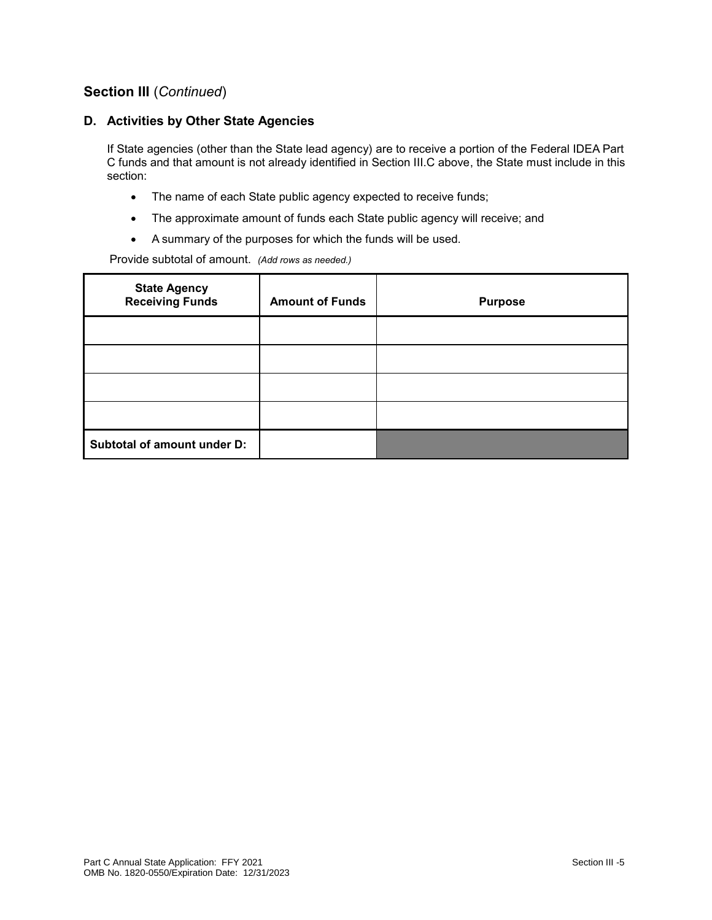#### **D. Activities by Other State Agencies**

If State agencies (other than the State lead agency) are to receive a portion of the Federal IDEA Part C funds and that amount is not already identified in Section III.C above, the State must include in this section:

- The name of each State public agency expected to receive funds;
- The approximate amount of funds each State public agency will receive; and
- A summary of the purposes for which the funds will be used.

Provide subtotal of amount. *(Add rows as needed.)*

| <b>State Agency</b><br><b>Receiving Funds</b> | <b>Amount of Funds</b> | <b>Purpose</b> |
|-----------------------------------------------|------------------------|----------------|
|                                               |                        |                |
|                                               |                        |                |
|                                               |                        |                |
|                                               |                        |                |
| Subtotal of amount under D:                   |                        |                |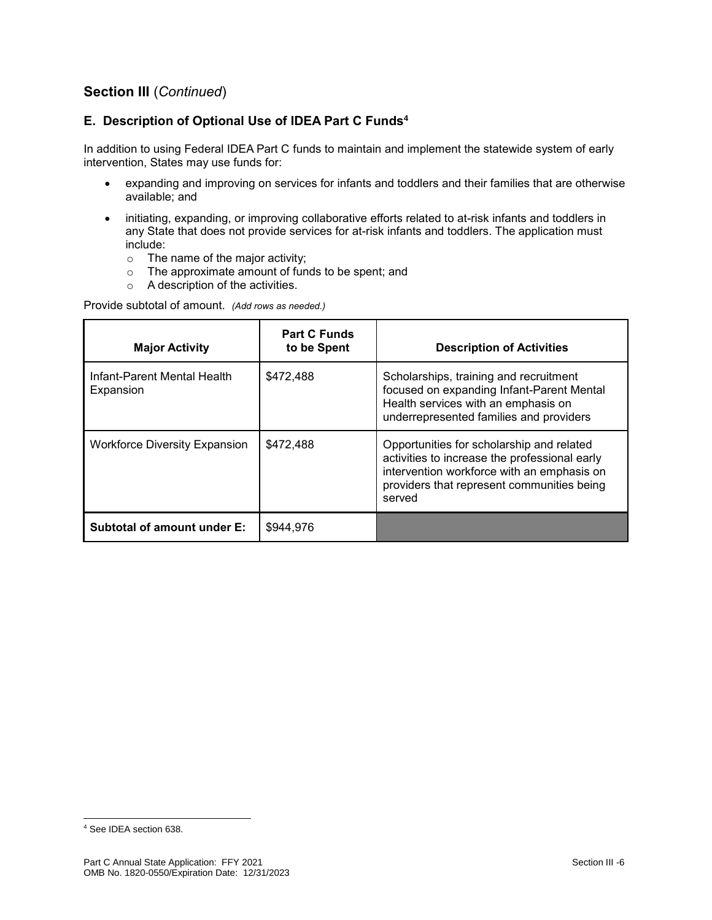### **E. Description of Optional Use of IDEA Part C Funds<sup>4</sup>**

In addition to using Federal IDEA Part C funds to maintain and implement the statewide system of early intervention, States may use funds for:

- expanding and improving on services for infants and toddlers and their families that are otherwise available; and
- initiating, expanding, or improving collaborative efforts related to at-risk infants and toddlers in any State that does not provide services for at-risk infants and toddlers. The application must include:
	- o The name of the major activity;
	- o The approximate amount of funds to be spent; and
	- o A description of the activities.

Provide subtotal of amount. *(Add rows as needed.)*

| <b>Major Activity</b>                    | <b>Part C Funds</b><br>to be Spent | <b>Description of Activities</b>                                                                                                                                                                 |
|------------------------------------------|------------------------------------|--------------------------------------------------------------------------------------------------------------------------------------------------------------------------------------------------|
| Infant-Parent Mental Health<br>Expansion | \$472,488                          | Scholarships, training and recruitment<br>focused on expanding Infant-Parent Mental<br>Health services with an emphasis on<br>underrepresented families and providers                            |
| <b>Workforce Diversity Expansion</b>     | \$472,488                          | Opportunities for scholarship and related<br>activities to increase the professional early<br>intervention workforce with an emphasis on<br>providers that represent communities being<br>served |
| Subtotal of amount under E:              | \$944,976                          |                                                                                                                                                                                                  |

l

<sup>4</sup> See IDEA section 638.